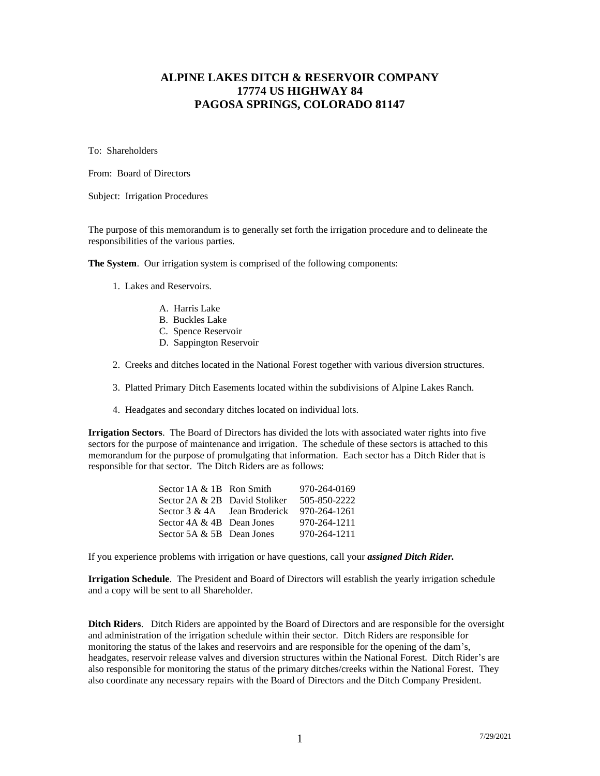# **ALPINE LAKES DITCH & RESERVOIR COMPANY 17774 US HIGHWAY 84 PAGOSA SPRINGS, COLORADO 81147**

To: Shareholders

From: Board of Directors

Subject: Irrigation Procedures

The purpose of this memorandum is to generally set forth the irrigation procedure and to delineate the responsibilities of the various parties.

**The System**. Our irrigation system is comprised of the following components:

- 1. Lakes and Reservoirs.
	- A. Harris Lake
	- B. Buckles Lake
	- C. Spence Reservoir
	- D. Sappington Reservoir
- 2. Creeks and ditches located in the National Forest together with various diversion structures.
- 3. Platted Primary Ditch Easements located within the subdivisions of Alpine Lakes Ranch.
- 4. Headgates and secondary ditches located on individual lots.

**Irrigation Sectors**. The Board of Directors has divided the lots with associated water rights into five sectors for the purpose of maintenance and irrigation. The schedule of these sectors is attached to this memorandum for the purpose of promulgating that information. Each sector has a Ditch Rider that is responsible for that sector. The Ditch Riders are as follows:

| 970-264-0169                                                                                                                                                                |
|-----------------------------------------------------------------------------------------------------------------------------------------------------------------------------|
| 505-850-2222                                                                                                                                                                |
|                                                                                                                                                                             |
| 970-264-1211                                                                                                                                                                |
| 970-264-1211                                                                                                                                                                |
| Sector $1A & 1B$ Ron Smith<br>Sector 2A & 2B David Stoliker<br>Sector $3 \& 4A$ Jean Broderick 970-264-1261<br>Sector $4A \& 4B$ Dean Jones<br>Sector $5A \& 5B$ Dean Jones |

If you experience problems with irrigation or have questions, call your *assigned Ditch Rider.*

**Irrigation Schedule**. The President and Board of Directors will establish the yearly irrigation schedule and a copy will be sent to all Shareholder.

**Ditch Riders**. Ditch Riders are appointed by the Board of Directors and are responsible for the oversight and administration of the irrigation schedule within their sector. Ditch Riders are responsible for monitoring the status of the lakes and reservoirs and are responsible for the opening of the dam's, headgates, reservoir release valves and diversion structures within the National Forest. Ditch Rider's are also responsible for monitoring the status of the primary ditches/creeks within the National Forest. They also coordinate any necessary repairs with the Board of Directors and the Ditch Company President.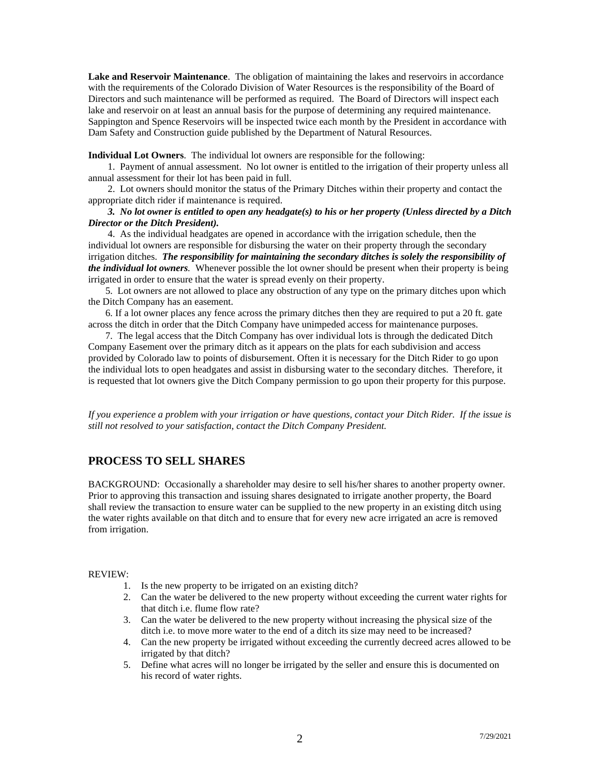**Lake and Reservoir Maintenance**. The obligation of maintaining the lakes and reservoirs in accordance with the requirements of the Colorado Division of Water Resources is the responsibility of the Board of Directors and such maintenance will be performed as required. The Board of Directors will inspect each lake and reservoir on at least an annual basis for the purpose of determining any required maintenance. Sappington and Spence Reservoirs will be inspected twice each month by the President in accordance with Dam Safety and Construction guide published by the Department of Natural Resources.

**Individual Lot Owners**. The individual lot owners are responsible for the following:

 1. Payment of annual assessment. No lot owner is entitled to the irrigation of their property unless all annual assessment for their lot has been paid in full.

 2. Lot owners should monitor the status of the Primary Ditches within their property and contact the appropriate ditch rider if maintenance is required.

#### *3. No lot owner is entitled to open any headgate(s) to his or her property (Unless directed by a Ditch Director or the Ditch President).*

 4. As the individual headgates are opened in accordance with the irrigation schedule, then the individual lot owners are responsible for disbursing the water on their property through the secondary irrigation ditches. *The responsibility for maintaining the secondary ditches is solely the responsibility of the individual lot owners.* Whenever possible the lot owner should be present when their property is being irrigated in order to ensure that the water is spread evenly on their property.

 5. Lot owners are not allowed to place any obstruction of any type on the primary ditches upon which the Ditch Company has an easement.

 6. If a lot owner places any fence across the primary ditches then they are required to put a 20 ft. gate across the ditch in order that the Ditch Company have unimpeded access for maintenance purposes.

 7. The legal access that the Ditch Company has over individual lots is through the dedicated Ditch Company Easement over the primary ditch as it appears on the plats for each subdivision and access provided by Colorado law to points of disbursement. Often it is necessary for the Ditch Rider to go upon the individual lots to open headgates and assist in disbursing water to the secondary ditches. Therefore, it is requested that lot owners give the Ditch Company permission to go upon their property for this purpose.

*If you experience a problem with your irrigation or have questions, contact your Ditch Rider. If the issue is still not resolved to your satisfaction, contact the Ditch Company President.*

### **PROCESS TO SELL SHARES**

BACKGROUND: Occasionally a shareholder may desire to sell his/her shares to another property owner. Prior to approving this transaction and issuing shares designated to irrigate another property, the Board shall review the transaction to ensure water can be supplied to the new property in an existing ditch using the water rights available on that ditch and to ensure that for every new acre irrigated an acre is removed from irrigation.

#### REVIEW:

- 1. Is the new property to be irrigated on an existing ditch?
- 2. Can the water be delivered to the new property without exceeding the current water rights for that ditch i.e. flume flow rate?
- 3. Can the water be delivered to the new property without increasing the physical size of the ditch i.e. to move more water to the end of a ditch its size may need to be increased?
- 4. Can the new property be irrigated without exceeding the currently decreed acres allowed to be irrigated by that ditch?
- 5. Define what acres will no longer be irrigated by the seller and ensure this is documented on his record of water rights.